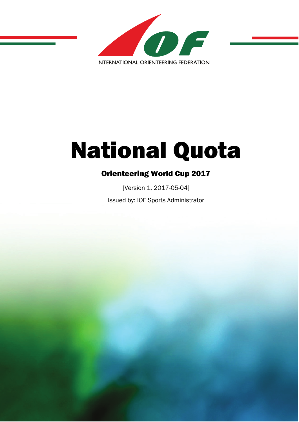

# National Quota

[Version 1, 2017-05-04] Issued by: IOF Sports Administrator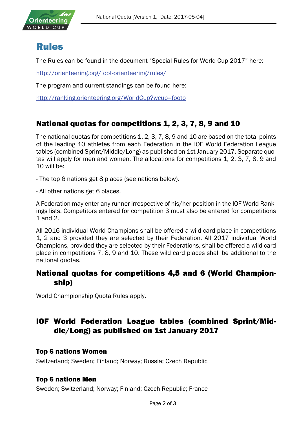

## Rules

The Rules can be found in the document "Special Rules for World Cup 2017" here:

<http://orienteering.org/foot-orienteering/rules/>

The program and current standings can be found here:

<http://ranking.orienteering.org/WorldCup?wcup=footo>

### National quotas for competitions 1, 2, 3, 7, 8, 9 and 10

The national quotas for competitions 1, 2, 3, 7, 8, 9 and 10 are based on the total points of the leading 10 athletes from each Federation in the IOF World Federation League tables (combined Sprint/Middle/Long) as published on 1st January 2017. Separate quotas will apply for men and women. The allocations for competitions 1, 2, 3, 7, 8, 9 and 10 will be:

- The top 6 nations get 8 places (see nations below).

- All other nations get 6 places.

A Federation may enter any runner irrespective of his/her position in the IOF World Rankings lists. Competitors entered for competition 3 must also be entered for competitions 1 and 2.

All 2016 individual World Champions shall be offered a wild card place in competitions 1, 2 and 3 provided they are selected by their Federation. All 2017 individual World Champions, provided they are selected by their Federations, shall be offered a wild card place in competitions 7, 8, 9 and 10. These wild card places shall be additional to the national quotas.

#### National quotas for competitions 4,5 and 6 (World Championship)

World Championship Quota Rules apply.

### IOF World Federation League tables (combined Sprint/Middle/Long) as published on 1st January 2017

#### Top 6 nations Women

Switzerland; Sweden; Finland; Norway; Russia; Czech Republic

#### Top 6 nations Men

Sweden; Switzerland; Norway; Finland; Czech Republic; France